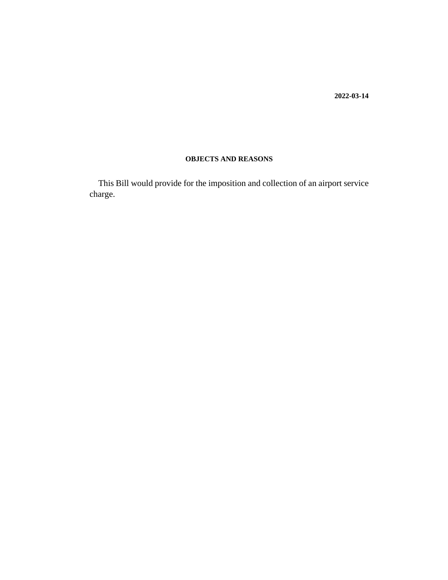**2022-03-14**

## **OBJECTS AND REASONS**

This Bill would provide for the imposition and collection of an airport service charge.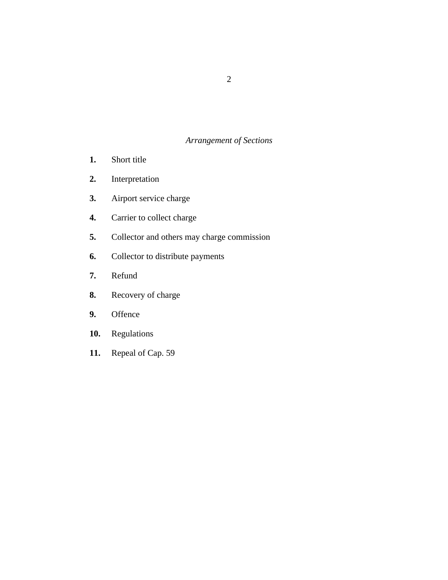## *Arrangement of Sections*

- [Short title](#page-2-0) **1.**
- [Interpretation](#page-3-0) **2.**
- [Airport service charge](#page-4-0) **3.**
- [Carrier to collect charge](#page-4-0) **4.**
- [Collector and others may charge commission](#page-5-0) **5.**
- [Collector to distribute payments](#page-5-0) **6.**
- [Refund](#page-6-0) **7.**
- [Recovery of charge](#page-6-0) **8.**
- **[Offence](#page-6-0) 9.**
- [Regulations](#page-6-0) **10.**
- [Repeal of Cap. 59](#page-6-0) **11.**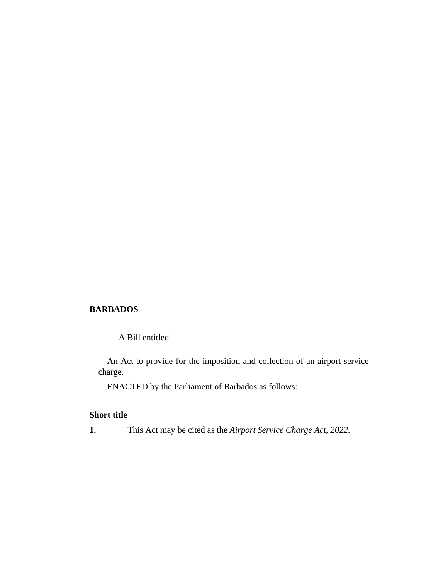#### <span id="page-2-0"></span>**BARBADOS**

A Bill entitled

An Act to provide for the imposition and collection of an airport service charge.

ENACTED by the Parliament of Barbados as follows:

### **Short title**

**1.** This Act may be cited as the *Airport Service Charge Act, 2022*.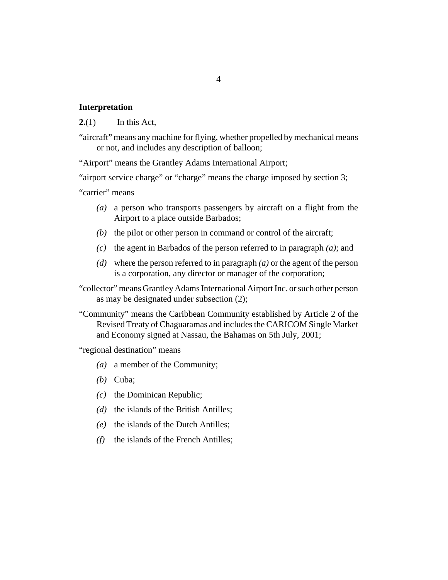#### <span id="page-3-0"></span>**Interpretation**

In this Act, **2.**(1)

"aircraft" means any machine for flying, whether propelled by mechanical means or not, and includes any description of balloon;

"Airport" means the Grantley Adams International Airport;

"airport service charge" or "charge" means the charge imposed by [section 3](#page-4-0);

"carrier" means

- a person who transports passengers by aircraft on a flight from the *(a)* Airport to a place outside Barbados;
- $(b)$  the pilot or other person in command or control of the aircraft;
- $\alpha$  the agent in Barbados of the person referred to in paragraph  $\alpha$ ; and
- where the person referred to in paragraph *(a)* or the agent of the person *(d)* is a corporation, any director or manager of the corporation;
- "collector" means Grantley Adams International Airport Inc. or such other person as may be designated under subsection (2);
- "Community" means the Caribbean Community established by Article 2 of the Revised Treaty of Chaguaramas and includes the CARICOM Single Market and Economy signed at Nassau, the Bahamas on 5th July, 2001;

"regional destination" means

- a member of the Community; *(a)*
- (b) Cuba;
- (c) the Dominican Republic;
- (d) the islands of the British Antilles;
- (e) the islands of the Dutch Antilles;
- $(f)$  the islands of the French Antilles;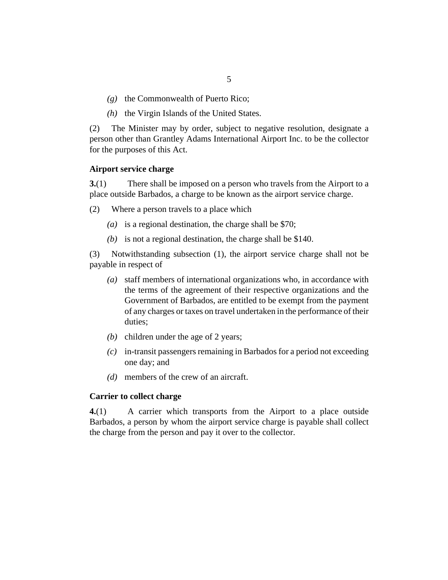- <span id="page-4-0"></span>(g) the Commonwealth of Puerto Rico;
- $(h)$  the Virgin Islands of the United States.

The Minister may by order, subject to negative resolution, designate a person other than Grantley Adams International Airport Inc. to be the collector for the purposes of this Act. (2)

#### **Airport service charge**

There shall be imposed on a person who travels from the Airport to a place outside Barbados, a charge to be known as the airport service charge. **3.**(1)

- Where a person travels to a place which (2)
	- (a) is a regional destination, the charge shall be  $$70$ ;
	- (b) is not a regional destination, the charge shall be  $$140$ .

Notwithstanding subsection (1), the airport service charge shall not be payable in respect of (3)

- staff members of international organizations who, in accordance with *(a)* the terms of the agreement of their respective organizations and the Government of Barbados, are entitled to be exempt from the payment of any charges or taxes on travel undertaken in the performance of their duties;
- (b) children under the age of 2 years;
- in-transit passengers remaining in Barbados for a period not exceeding *(c)* one day; and
- members of the crew of an aircraft. *(d)*

#### **Carrier to collect charge**

A carrier which transports from the Airport to a place outside Barbados, a person by whom the airport service charge is payable shall collect the charge from the person and pay it over to the collector. **4.**(1)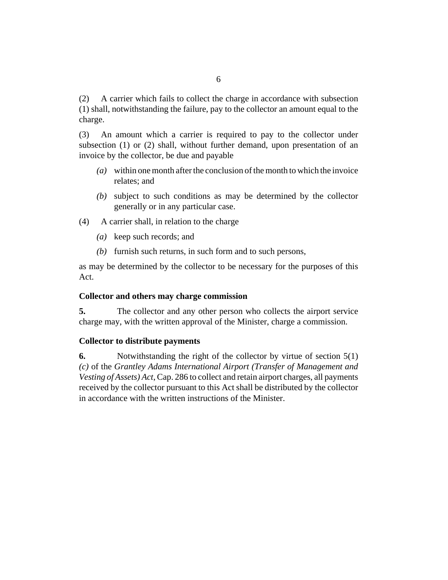<span id="page-5-0"></span>A carrier which fails to collect the charge in accordance with subsection (1) shall, notwithstanding the failure, pay to the collector an amount equal to the charge. (2)

An amount which a carrier is required to pay to the collector under subsection (1) or (2) shall, without further demand, upon presentation of an invoice by the collector, be due and payable (3)

- within one month after the conclusion of the month to which the invoice *(a)* relates; and
- subject to such conditions as may be determined by the collector *(b)* generally or in any particular case.
- A carrier shall, in relation to the charge (4)
	- keep such records; and *(a)*
	- $(b)$  furnish such returns, in such form and to such persons,

as may be determined by the collector to be necessary for the purposes of this Act.

#### **Collector and others may charge commission**

The collector and any other person who collects the airport service charge may, with the written approval of the Minister, charge a commission. **5.**

#### **Collector to distribute payments**

Notwithstanding the right of the collector by virtue of section 5(1) *(c)* of the *[Grantley Adams International Airport \(Transfer of Management and](http://barbadosparliament-laws.com/en/showdoc/cs/286) [Vesting of Assets\) Act](http://barbadosparliament-laws.com/en/showdoc/cs/286)*, Cap. 286 to collect and retain airport charges, all payments received by the collector pursuant to this Act shall be distributed by the collector in accordance with the written instructions of the Minister. **6.**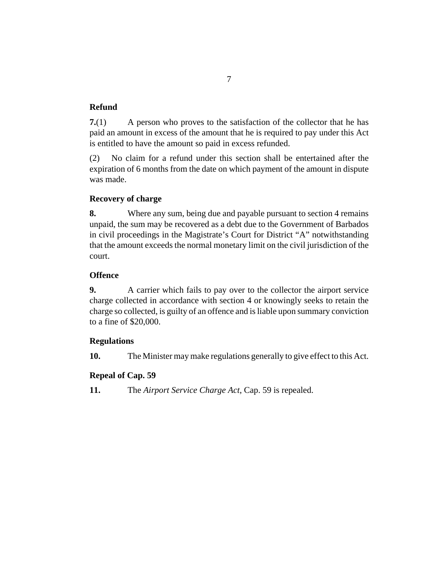## <span id="page-6-0"></span>**Refund**

A person who proves to the satisfaction of the collector that he has paid an amount in excess of the amount that he is required to pay under this Act is entitled to have the amount so paid in excess refunded. **7.**(1)

No claim for a refund under this section shall be entertained after the expiration of 6 months from the date on which payment of the amount in dispute was made. (2)

## **Recovery of charge**

Where any sum, being due and payable pursuant to [section 4](#page-4-0) remains unpaid, the sum may be recovered as a debt due to the Government of Barbados in civil proceedings in the Magistrate's Court for District "A" notwithstanding that the amount exceeds the normal monetary limit on the civil jurisdiction of the court. **8.**

## **Offence**

A carrier which fails to pay over to the collector the airport service charge collected in accordance with [section 4](#page-4-0) or knowingly seeks to retain the charge so collected, is guilty of an offence and is liable upon summary conviction to a fine of \$20,000. **9.**

## **Regulations**

The Minister may make regulations generally to give effect to this Act. **10.**

## **Repeal of Cap. 59**

The *[Airport Service Charge Act](http://barbadosparliament-laws.com/en/showdoc/cs/59)*, Cap. 59 is repealed. **11.**